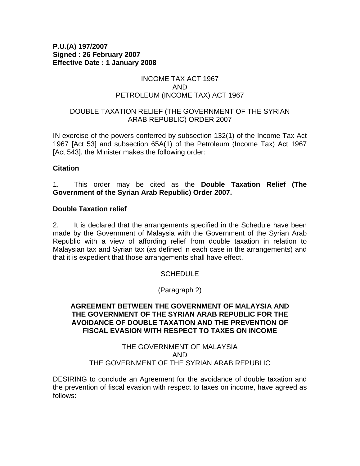#### **P.U.(A) 197/2007 Signed : 26 February 2007 Effective Date : 1 January 2008**

#### INCOME TAX ACT 1967 AND PETROLEUM (INCOME TAX) ACT 1967

#### DOUBLE TAXATION RELIEF (THE GOVERNMENT OF THE SYRIAN ARAB REPUBLIC) ORDER 2007

IN exercise of the powers conferred by subsection 132(1) of the Income Tax Act 1967 [Act 53] and subsection 65A(1) of the Petroleum (Income Tax) Act 1967 [Act 543], the Minister makes the following order:

### **Citation**

1. This order may be cited as the **Double Taxation Relief (The Government of the Syrian Arab Republic) Order 2007.** 

#### **Double Taxation relief**

2. It is declared that the arrangements specified in the Schedule have been made by the Government of Malaysia with the Government of the Syrian Arab Republic with a view of affording relief from double taxation in relation to Malaysian tax and Syrian tax (as defined in each case in the arrangements) and that it is expedient that those arrangements shall have effect.

### **SCHEDULE**

(Paragraph 2)

#### **AGREEMENT BETWEEN THE GOVERNMENT OF MALAYSIA AND THE GOVERNMENT OF THE SYRIAN ARAB REPUBLIC FOR THE AVOIDANCE OF DOUBLE TAXATION AND THE PREVENTION OF FISCAL EVASION WITH RESPECT TO TAXES ON INCOME**

#### THE GOVERNMENT OF MALAYSIA AND THE GOVERNMENT OF THE SYRIAN ARAB REPUBLIC

DESIRING to conclude an Agreement for the avoidance of double taxation and the prevention of fiscal evasion with respect to taxes on income, have agreed as follows: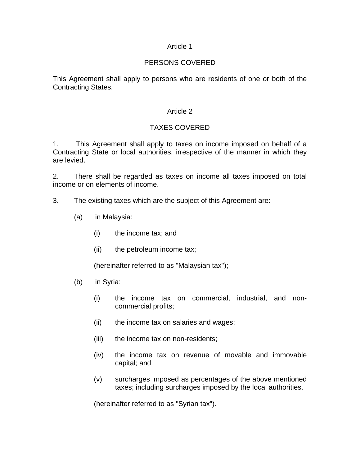#### Article 1

### PERSONS COVERED

This Agreement shall apply to persons who are residents of one or both of the Contracting States.

#### Article 2

## TAXES COVERED

1. This Agreement shall apply to taxes on income imposed on behalf of a Contracting State or local authorities, irrespective of the manner in which they are levied.

2. There shall be regarded as taxes on income all taxes imposed on total income or on elements of income.

- 3. The existing taxes which are the subject of this Agreement are:
	- (a) in Malaysia:
		- (i) the income tax; and
		- (ii) the petroleum income tax;

(hereinafter referred to as "Malaysian tax");

- (b) in Syria:
	- (i) the income tax on commercial, industrial, and noncommercial profits;
	- (ii) the income tax on salaries and wages;
	- (iii) the income tax on non-residents;
	- (iv) the income tax on revenue of movable and immovable capital; and
	- (v) surcharges imposed as percentages of the above mentioned taxes; including surcharges imposed by the local authorities.

(hereinafter referred to as "Syrian tax").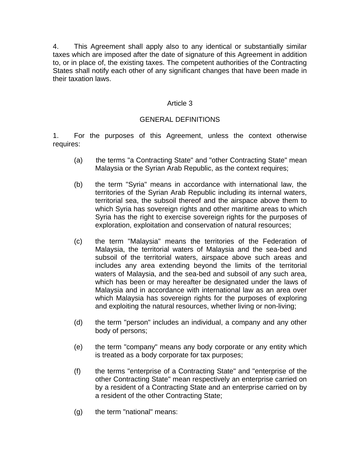4. This Agreement shall apply also to any identical or substantially similar taxes which are imposed after the date of signature of this Agreement in addition to, or in place of, the existing taxes. The competent authorities of the Contracting States shall notify each other of any significant changes that have been made in their taxation laws.

## Article 3

# GENERAL DEFINITIONS

1. For the purposes of this Agreement, unless the context otherwise requires:

- (a) the terms "a Contracting State" and "other Contracting State" mean Malaysia or the Syrian Arab Republic, as the context requires;
- (b) the term "Syria" means in accordance with international law, the territories of the Syrian Arab Republic including its internal waters, territorial sea, the subsoil thereof and the airspace above them to which Syria has sovereign rights and other maritime areas to which Syria has the right to exercise sovereign rights for the purposes of exploration, exploitation and conservation of natural resources;
- (c) the term "Malaysia" means the territories of the Federation of Malaysia, the territorial waters of Malaysia and the sea-bed and subsoil of the territorial waters, airspace above such areas and includes any area extending beyond the limits of the territorial waters of Malaysia, and the sea-bed and subsoil of any such area, which has been or may hereafter be designated under the laws of Malaysia and in accordance with international law as an area over which Malaysia has sovereign rights for the purposes of exploring and exploiting the natural resources, whether living or non-living;
- (d) the term "person" includes an individual, a company and any other body of persons;
- (e) the term "company" means any body corporate or any entity which is treated as a body corporate for tax purposes;
- (f) the terms "enterprise of a Contracting State" and "enterprise of the other Contracting State" mean respectively an enterprise carried on by a resident of a Contracting State and an enterprise carried on by a resident of the other Contracting State;
- (g) the term "national" means: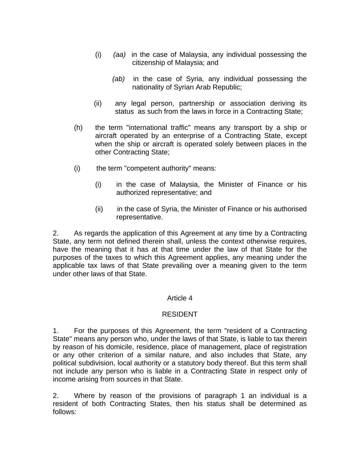- (i)*(aa)* in the case of Malaysia, any individual possessing the citizenship of Malaysia; and
	- *(ab)* in the case of Syria, any individual possessing the nationality of Syrian Arab Republic;
- (ii) any legal person, partnership or association deriving its status as such from the laws in force in a Contracting State;
- (h) the term "international traffic" means any transport by a ship or aircraft operated by an enterprise of a Contracting State, except when the ship or aircraft is operated solely between places in the other Contracting State;
- (i) the term "competent authority" means:
	- (i) in the case of Malaysia, the Minister of Finance or his authorized representative; and
	- (ii) in the case of Syria, the Minister of Finance or his authorised representative.

2. As regards the application of this Agreement at any time by a Contracting State, any term not defined therein shall, unless the context otherwise requires, have the meaning that it has at that time under the law of that State for the purposes of the taxes to which this Agreement applies, any meaning under the applicable tax laws of that State prevailing over a meaning given to the term under other laws of that State.

### Article 4

### RESIDENT

1. For the purposes of this Agreement, the term "resident of a Contracting State" means any person who, under the laws of that State, is liable to tax therein by reason of his domicile, residence, place of management, place of registration or any other criterion of a similar nature, and also includes that State, any political subdivision, local authority or a statutory body thereof. But this term shall not include any person who is liable in a Contracting State in respect only of income arising from sources in that State.

2. Where by reason of the provisions of paragraph 1 an individual is a resident of both Contracting States, then his status shall be determined as follows: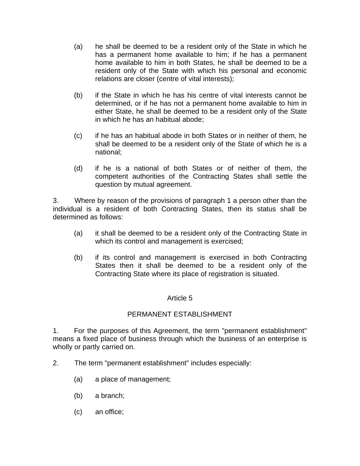- (a) he shall be deemed to be a resident only of the State in which he has a permanent home available to him; if he has a permanent home available to him in both States, he shall be deemed to be a resident only of the State with which his personal and economic relations are closer (centre of vital interests);
- (b) if the State in which he has his centre of vital interests cannot be determined, or if he has not a permanent home available to him in either State, he shall be deemed to be a resident only of the State in which he has an habitual abode;
- (c) if he has an habitual abode in both States or in neither of them, he shall be deemed to be a resident only of the State of which he is a national;
- (d) if he is a national of both States or of neither of them, the competent authorities of the Contracting States shall settle the question by mutual agreement.

3. Where by reason of the provisions of paragraph 1 a person other than the individual is a resident of both Contracting States, then its status shall be determined as follows:

- (a) it shall be deemed to be a resident only of the Contracting State in which its control and management is exercised;
- (b) if its control and management is exercised in both Contracting States then it shall be deemed to be a resident only of the Contracting State where its place of registration is situated.

# Article 5

# PERMANENT ESTABLISHMENT

1. For the purposes of this Agreement, the term "permanent establishment" means a fixed place of business through which the business of an enterprise is wholly or partly carried on.

- 2. The term "permanent establishment" includes especially:
	- (a) a place of management;
	- (b) a branch;
	- (c) an office;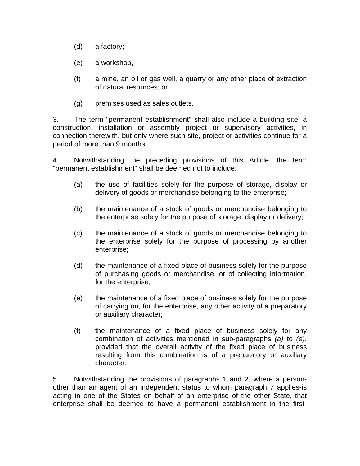- (d) a factory;
- (e) a workshop,
- (f) a mine, an oil or gas well, a quarry or any other place of extraction of natural resources; or
- (g) premises used as sales outlets.

3. The term "permanent establishment" shall also include a building site, a construction, installation or assembly project or supervisory activities, in connection therewith, but only where such site, project or activities continue for a period of more than 9 months.

4. Notwithstanding the preceding provisions of this Article, the term "permanent establishment" shall be deemed not to include:

- (a) the use of facilities solely for the purpose of storage, display or delivery of goods or merchandise belonging to the enterprise;
- (b) the maintenance of a stock of goods or merchandise belonging to the enterprise solely for the purpose of storage, display or delivery;
- (c) the maintenance of a stock of goods or merchandise belonging to the enterprise solely for the purpose of processing by another enterprise;
- (d) the maintenance of a fixed place of business solely for the purpose of purchasing goods or merchandise, or of collecting information, for the enterprise;
- (e) the maintenance of a fixed place of business solely for the purpose of carrying on, for the enterprise, any other activity of a preparatory or auxiliary character;
- (f) the maintenance of a fixed place of business solely for any combination of activities mentioned in sub-paragraphs *(a)* to *(e)*, provided that the overall activity of the fixed place of business resulting from this combination is of a preparatory or auxiliary character.

5. Notwithstanding the provisions of paragraphs 1 and 2, where a personother than an agent of an independent status to whom paragraph 7 applies-is acting in one of the States on behalf of an enterprise of the other State, that enterprise shall be deemed to have a permanent establishment in the first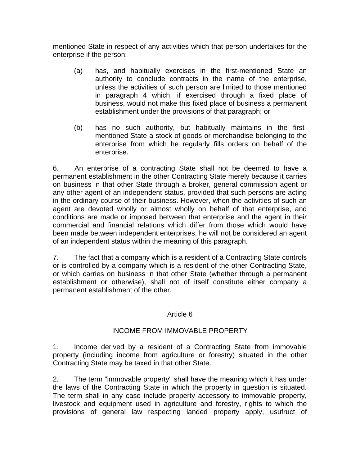mentioned State in respect of any activities which that person undertakes for the enterprise if the person:

- (a) has, and habitually exercises in the first-mentioned State an authority to conclude contracts in the name of the enterprise, unless the activities of such person are limited to those mentioned in paragraph 4 which, if exercised through a fixed place of business, would not make this fixed place of business a permanent establishment under the provisions of that paragraph; or
- (b) has no such authority, but habitually maintains in the firstmentioned State a stock of goods or merchandise belonging to the enterprise from which he regularly fills orders on behalf of the enterprise.

6. An enterprise of a contracting State shall not be deemed to have a permanent establishment in the other Contracting State merely because it carries on business in that other State through a broker, general commission agent or any other agent of an independent status, provided that such persons are acting in the ordinary course of their business. However, when the activities of such an agent are devoted wholly or almost wholly on behalf of that enterprise, and conditions are made or imposed between that enterprise and the agent in their commercial and financial relations which differ from those which would have been made between independent enterprises, he will not be considered an agent of an independent status within the meaning of this paragraph.

7. The fact that a company which is a resident of a Contracting State controls or is controlled by a company which is a resident of the other Contracting State, or which carries on business in that other State (whether through a permanent establishment or otherwise), shall not of itself constitute either company a permanent establishment of the other.

### Article 6

### INCOME FROM IMMOVABLE PROPERTY

1. Income derived by a resident of a Contracting State from immovable property (including income from agriculture or forestry) situated in the other Contracting State may be taxed in that other State.

2. The term "immovable property" shall have the meaning which it has under the laws of the Contracting State in which the property in question is situated. The term shall in any case include property accessory to immovable property, livestock and equipment used in agriculture and forestry, rights to which the provisions of general law respecting landed property apply, usufruct of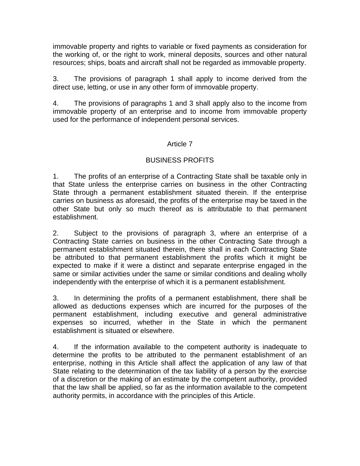immovable property and rights to variable or fixed payments as consideration for the working of, or the right to work, mineral deposits, sources and other natural resources; ships, boats and aircraft shall not be regarded as immovable property.

3. The provisions of paragraph 1 shall apply to income derived from the direct use, letting, or use in any other form of immovable property.

4. The provisions of paragraphs 1 and 3 shall apply also to the income from immovable property of an enterprise and to income from immovable property used for the performance of independent personal services.

### Article 7

# BUSINESS PROFITS

1. The profits of an enterprise of a Contracting State shall be taxable only in that State unless the enterprise carries on business in the other Contracting State through a permanent establishment situated therein. If the enterprise carries on business as aforesaid, the profits of the enterprise may be taxed in the other State but only so much thereof as is attributable to that permanent establishment.

2. Subject to the provisions of paragraph 3, where an enterprise of a Contracting State carries on business in the other Contracting Sate through a permanent establishment situated therein, there shall in each Contracting State be attributed to that permanent establishment the profits which it might be expected to make if it were a distinct and separate enterprise engaged in the same or similar activities under the same or similar conditions and dealing wholly independently with the enterprise of which it is a permanent establishment.

3. In determining the profits of a permanent establishment, there shall be allowed as deductions expenses which are incurred for the purposes of the permanent establishment, including executive and general administrative expenses so incurred, whether in the State in which the permanent establishment is situated or elsewhere.

4. If the information available to the competent authority is inadequate to determine the profits to be attributed to the permanent establishment of an enterprise, nothing in this Article shall affect the application of any law of that State relating to the determination of the tax liability of a person by the exercise of a discretion or the making of an estimate by the competent authority, provided that the law shall be applied, so far as the information available to the competent authority permits, in accordance with the principles of this Article.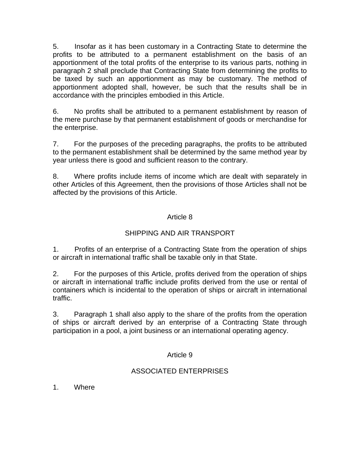5. Insofar as it has been customary in a Contracting State to determine the profits to be attributed to a permanent establishment on the basis of an apportionment of the total profits of the enterprise to its various parts, nothing in paragraph 2 shall preclude that Contracting State from determining the profits to be taxed by such an apportionment as may be customary. The method of apportionment adopted shall, however, be such that the results shall be in accordance with the principles embodied in this Article.

6. No profits shall be attributed to a permanent establishment by reason of the mere purchase by that permanent establishment of goods or merchandise for the enterprise.

7. For the purposes of the preceding paragraphs, the profits to be attributed to the permanent establishment shall be determined by the same method year by year unless there is good and sufficient reason to the contrary.

8. Where profits include items of income which are dealt with separately in other Articles of this Agreement, then the provisions of those Articles shall not be affected by the provisions of this Article.

# Article 8

# SHIPPING AND AIR TRANSPORT

1. Profits of an enterprise of a Contracting State from the operation of ships or aircraft in international traffic shall be taxable only in that State.

2. For the purposes of this Article, profits derived from the operation of ships or aircraft in international traffic include profits derived from the use or rental of containers which is incidental to the operation of ships or aircraft in international traffic.

3. Paragraph 1 shall also apply to the share of the profits from the operation of ships or aircraft derived by an enterprise of a Contracting State through participation in a pool, a joint business or an international operating agency.

# Article 9

# ASSOCIATED ENTERPRISES

1. Where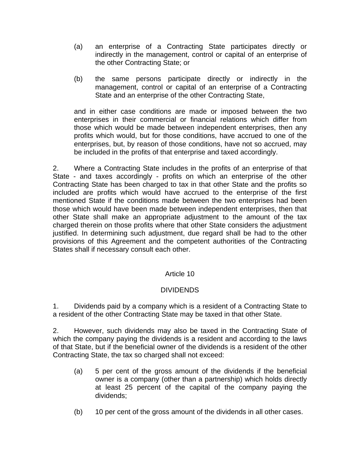- (a) an enterprise of a Contracting State participates directly or indirectly in the management, control or capital of an enterprise of the other Contracting State; or
- (b) the same persons participate directly or indirectly in the management, control or capital of an enterprise of a Contracting State and an enterprise of the other Contracting State,

and in either case conditions are made or imposed between the two enterprises in their commercial or financial relations which differ from those which would be made between independent enterprises, then any profits which would, but for those conditions, have accrued to one of the enterprises, but, by reason of those conditions, have not so accrued, may be included in the profits of that enterprise and taxed accordingly.

2. Where a Contracting State includes in the profits of an enterprise of that State - and taxes accordingly - profits on which an enterprise of the other Contracting State has been charged to tax in that other State and the profits so included are profits which would have accrued to the enterprise of the first mentioned State if the conditions made between the two enterprises had been those which would have been made between independent enterprises, then that other State shall make an appropriate adjustment to the amount of the tax charged therein on those profits where that other State considers the adjustment justified. In determining such adjustment, due regard shall be had to the other provisions of this Agreement and the competent authorities of the Contracting States shall if necessary consult each other.

# Article 10

### DIVIDENDS

1. Dividends paid by a company which is a resident of a Contracting State to a resident of the other Contracting State may be taxed in that other State.

2. However, such dividends may also be taxed in the Contracting State of which the company paying the dividends is a resident and according to the laws of that State, but if the beneficial owner of the dividends is a resident of the other Contracting State, the tax so charged shall not exceed:

- (a) 5 per cent of the gross amount of the dividends if the beneficial owner is a company (other than a partnership) which holds directly at least 25 percent of the capital of the company paying the dividends;
- (b) 10 per cent of the gross amount of the dividends in all other cases.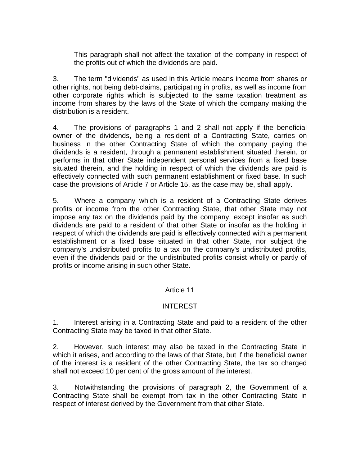This paragraph shall not affect the taxation of the company in respect of the profits out of which the dividends are paid.

3. The term "dividends" as used in this Article means income from shares or other rights, not being debt-claims, participating in profits, as well as income from other corporate rights which is subjected to the same taxation treatment as income from shares by the laws of the State of which the company making the distribution is a resident.

4. The provisions of paragraphs 1 and 2 shall not apply if the beneficial owner of the dividends, being a resident of a Contracting State, carries on business in the other Contracting State of which the company paying the dividends is a resident, through a permanent establishment situated therein, or performs in that other State independent personal services from a fixed base situated therein, and the holding in respect of which the dividends are paid is effectively connected with such permanent establishment or fixed base. In such case the provisions of Article 7 or Article 15, as the case may be, shall apply.

5. Where a company which is a resident of a Contracting State derives profits or income from the other Contracting State, that other State may not impose any tax on the dividends paid by the company, except insofar as such dividends are paid to a resident of that other State or insofar as the holding in respect of which the dividends are paid is effectively connected with a permanent establishment or a fixed base situated in that other State, nor subject the company's undistributed profits to a tax on the company's undistributed profits, even if the dividends paid or the undistributed profits consist wholly or partly of profits or income arising in such other State.

### Article 11

### INTEREST

1. Interest arising in a Contracting State and paid to a resident of the other Contracting State may be taxed in that other State.

2. However, such interest may also be taxed in the Contracting State in which it arises, and according to the laws of that State, but if the beneficial owner of the interest is a resident of the other Contracting State, the tax so charged shall not exceed 10 per cent of the gross amount of the interest.

3. Notwithstanding the provisions of paragraph 2, the Government of a Contracting State shall be exempt from tax in the other Contracting State in respect of interest derived by the Government from that other State.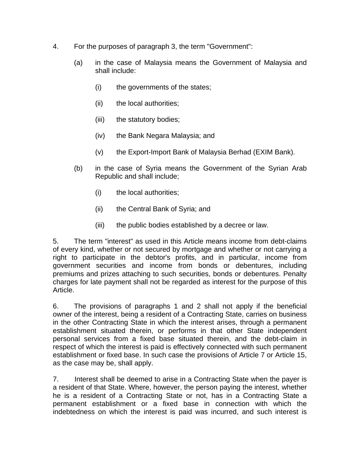- 4. For the purposes of paragraph 3, the term "Government":
	- (a) in the case of Malaysia means the Government of Malaysia and shall include:
		- (i) the governments of the states;
		- (ii) the local authorities;
		- (iii) the statutory bodies;
		- (iv) the Bank Negara Malaysia; and
		- (v) the Export-Import Bank of Malaysia Berhad (EXIM Bank).
	- (b) in the case of Syria means the Government of the Syrian Arab Republic and shall include;
		- (i) the local authorities;
		- (ii) the Central Bank of Syria; and
		- (iii) the public bodies established by a decree or law.

5. The term "interest" as used in this Article means income from debt-claims of every kind, whether or not secured by mortgage and whether or not carrying a right to participate in the debtor's profits, and in particular, income from government securities and income from bonds or debentures, including premiums and prizes attaching to such securities, bonds or debentures. Penalty charges for late payment shall not be regarded as interest for the purpose of this Article.

6. The provisions of paragraphs 1 and 2 shall not apply if the beneficial owner of the interest, being a resident of a Contracting State, carries on business in the other Contracting State in which the interest arises, through a permanent establishment situated therein, or performs in that other State independent personal services from a fixed base situated therein, and the debt-claim in respect of which the interest is paid is effectively connected with such permanent establishment or fixed base. In such case the provisions of Article 7 or Article 15, as the case may be, shall apply.

7. Interest shall be deemed to arise in a Contracting State when the payer is a resident of that State. Where, however, the person paying the interest, whether he is a resident of a Contracting State or not, has in a Contracting State a permanent establishment or a fixed base in connection with which the indebtedness on which the interest is paid was incurred, and such interest is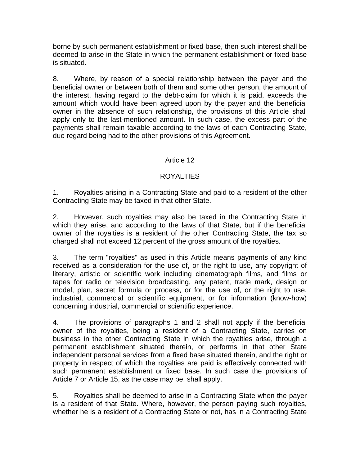borne by such permanent establishment or fixed base, then such interest shall be deemed to arise in the State in which the permanent establishment or fixed base is situated.

8. Where, by reason of a special relationship between the payer and the beneficial owner or between both of them and some other person, the amount of the interest, having regard to the debt-claim for which it is paid, exceeds the amount which would have been agreed upon by the payer and the beneficial owner in the absence of such relationship, the provisions of this Article shall apply only to the last-mentioned amount. In such case, the excess part of the payments shall remain taxable according to the laws of each Contracting State, due regard being had to the other provisions of this Agreement.

# Article 12

# **ROYALTIES**

1. Royalties arising in a Contracting State and paid to a resident of the other Contracting State may be taxed in that other State.

2. However, such royalties may also be taxed in the Contracting State in which they arise, and according to the laws of that State, but if the beneficial owner of the royalties is a resident of the other Contracting State, the tax so charged shall not exceed 12 percent of the gross amount of the royalties.

3. The term "royalties" as used in this Article means payments of any kind received as a consideration for the use of, or the right to use, any copyright of literary, artistic or scientific work including cinematograph films, and films or tapes for radio or television broadcasting, any patent, trade mark, design or model, plan, secret formula or process, or for the use of, or the right to use, industrial, commercial or scientific equipment, or for information (know-how) concerning industrial, commercial or scientific experience.

4. The provisions of paragraphs 1 and 2 shall not apply if the beneficial owner of the royalties, being a resident of a Contracting State, carries on business in the other Contracting State in which the royalties arise, through a permanent establishment situated therein, or performs in that other State independent personal services from a fixed base situated therein, and the right or property in respect of which the royalties are paid is effectively connected with such permanent establishment or fixed base. In such case the provisions of Article 7 or Article 15, as the case may be, shall apply.

5. Royalties shall be deemed to arise in a Contracting State when the payer is a resident of that State. Where, however, the person paying such royalties, whether he is a resident of a Contracting State or not, has in a Contracting State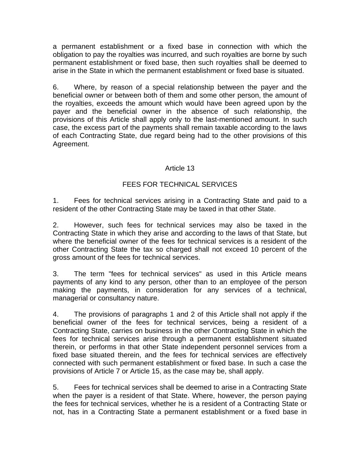a permanent establishment or a fixed base in connection with which the obligation to pay the royalties was incurred, and such royalties are borne by such permanent establishment or fixed base, then such royalties shall be deemed to arise in the State in which the permanent establishment or fixed base is situated.

6. Where, by reason of a special relationship between the payer and the beneficial owner or between both of them and some other person, the amount of the royalties, exceeds the amount which would have been agreed upon by the payer and the beneficial owner in the absence of such relationship, the provisions of this Article shall apply only to the last-mentioned amount. In such case, the excess part of the payments shall remain taxable according to the laws of each Contracting State, due regard being had to the other provisions of this Agreement.

# Article 13

## FEES FOR TECHNICAL SERVICES

1. Fees for technical services arising in a Contracting State and paid to a resident of the other Contracting State may be taxed in that other State.

2. However, such fees for technical services may also be taxed in the Contracting State in which they arise and according to the laws of that State, but where the beneficial owner of the fees for technical services is a resident of the other Contracting State the tax so charged shall not exceed 10 percent of the gross amount of the fees for technical services.

3. The term "fees for technical services" as used in this Article means payments of any kind to any person, other than to an employee of the person making the payments, in consideration for any services of a technical, managerial or consultancy nature.

4. The provisions of paragraphs 1 and 2 of this Article shall not apply if the beneficial owner of the fees for technical services, being a resident of a Contracting State, carries on business in the other Contracting State in which the fees for technical services arise through a permanent establishment situated therein, or performs in that other State independent personnel services from a fixed base situated therein, and the fees for technical services are effectively connected with such permanent establishment or fixed base. In such a case the provisions of Article 7 or Article 15, as the case may be, shall apply.

5. Fees for technical services shall be deemed to arise in a Contracting State when the payer is a resident of that State. Where, however, the person paying the fees for technical services, whether he is a resident of a Contracting State or not, has in a Contracting State a permanent establishment or a fixed base in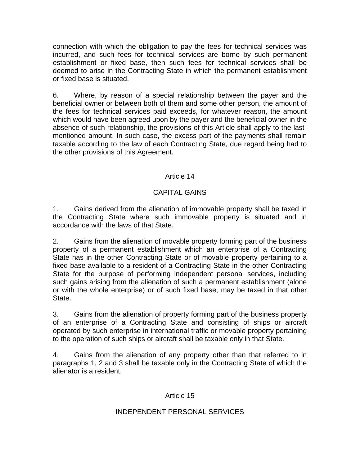connection with which the obligation to pay the fees for technical services was incurred, and such fees for technical services are borne by such permanent establishment or fixed base, then such fees for technical services shall be deemed to arise in the Contracting State in which the permanent establishment or fixed base is situated.

6. Where, by reason of a special relationship between the payer and the beneficial owner or between both of them and some other person, the amount of the fees for technical services paid exceeds, for whatever reason, the amount which would have been agreed upon by the payer and the beneficial owner in the absence of such relationship, the provisions of this Article shall apply to the lastmentioned amount. In such case, the excess part of the payments shall remain taxable according to the law of each Contracting State, due regard being had to the other provisions of this Agreement.

## Article 14

# CAPITAL GAINS

1. Gains derived from the alienation of immovable property shall be taxed in the Contracting State where such immovable property is situated and in accordance with the laws of that State.

2. Gains from the alienation of movable property forming part of the business property of a permanent establishment which an enterprise of a Contracting State has in the other Contracting State or of movable property pertaining to a fixed base available to a resident of a Contracting State in the other Contracting State for the purpose of performing independent personal services, including such gains arising from the alienation of such a permanent establishment (alone or with the whole enterprise) or of such fixed base, may be taxed in that other State.

3. Gains from the alienation of property forming part of the business property of an enterprise of a Contracting State and consisting of ships or aircraft operated by such enterprise in international traffic or movable property pertaining to the operation of such ships or aircraft shall be taxable only in that State.

4. Gains from the alienation of any property other than that referred to in paragraphs 1, 2 and 3 shall be taxable only in the Contracting State of which the alienator is a resident.

### Article 15

### INDEPENDENT PERSONAL SERVICES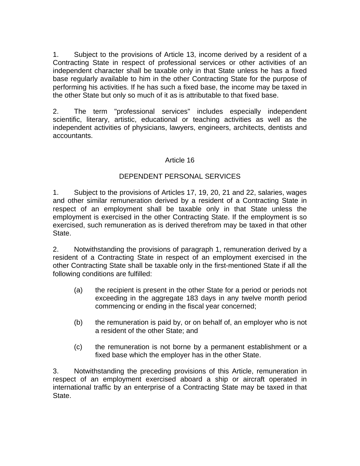1. Subject to the provisions of Article 13, income derived by a resident of a Contracting State in respect of professional services or other activities of an independent character shall be taxable only in that State unless he has a fixed base regularly available to him in the other Contracting State for the purpose of performing his activities. If he has such a fixed base, the income may be taxed in the other State but only so much of it as is attributable to that fixed base.

2. The term "professional services" includes especially independent scientific, literary, artistic, educational or teaching activities as well as the independent activities of physicians, lawyers, engineers, architects, dentists and accountants.

## Article 16

## DEPENDENT PERSONAL SERVICES

1. Subject to the provisions of Articles 17, 19, 20, 21 and 22, salaries, wages and other similar remuneration derived by a resident of a Contracting State in respect of an employment shall be taxable only in that State unless the employment is exercised in the other Contracting State. If the employment is so exercised, such remuneration as is derived therefrom may be taxed in that other State.

2. Notwithstanding the provisions of paragraph 1, remuneration derived by a resident of a Contracting State in respect of an employment exercised in the other Contracting State shall be taxable only in the first-mentioned State if all the following conditions are fulfilled:

- (a) the recipient is present in the other State for a period or periods not exceeding in the aggregate 183 days in any twelve month period commencing or ending in the fiscal year concerned;
- (b) the remuneration is paid by, or on behalf of, an employer who is not a resident of the other State; and
- (c) the remuneration is not borne by a permanent establishment or a fixed base which the employer has in the other State.

3. Notwithstanding the preceding provisions of this Article, remuneration in respect of an employment exercised aboard a ship or aircraft operated in international traffic by an enterprise of a Contracting State may be taxed in that State.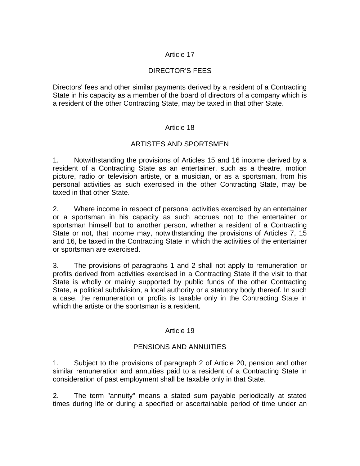# Article 17

# DIRECTOR'S FEES

Directors' fees and other similar payments derived by a resident of a Contracting State in his capacity as a member of the board of directors of a company which is a resident of the other Contracting State, may be taxed in that other State.

### Article 18

## ARTISTES AND SPORTSMEN

1. Notwithstanding the provisions of Articles 15 and 16 income derived by a resident of a Contracting State as an entertainer, such as a theatre, motion picture, radio or television artiste, or a musician, or as a sportsman, from his personal activities as such exercised in the other Contracting State, may be taxed in that other State.

2. Where income in respect of personal activities exercised by an entertainer or a sportsman in his capacity as such accrues not to the entertainer or sportsman himself but to another person, whether a resident of a Contracting State or not, that income may, notwithstanding the provisions of Articles 7, 15 and 16, be taxed in the Contracting State in which the activities of the entertainer or sportsman are exercised.

3. The provisions of paragraphs 1 and 2 shall not apply to remuneration or profits derived from activities exercised in a Contracting State if the visit to that State is wholly or mainly supported by public funds of the other Contracting State, a political subdivision, a local authority or a statutory body thereof. In such a case, the remuneration or profits is taxable only in the Contracting State in which the artiste or the sportsman is a resident.

### Article 19

### PENSIONS AND ANNUITIES

1. Subject to the provisions of paragraph 2 of Article 20, pension and other similar remuneration and annuities paid to a resident of a Contracting State in consideration of past employment shall be taxable only in that State.

2. The term "annuity" means a stated sum payable periodically at stated times during life or during a specified or ascertainable period of time under an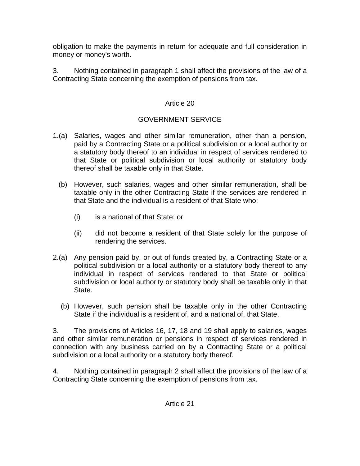obligation to make the payments in return for adequate and full consideration in money or money's worth.

3. Nothing contained in paragraph 1 shall affect the provisions of the law of a Contracting State concerning the exemption of pensions from tax.

# Article 20

# GOVERNMENT SERVICE

- 1.(a) Salaries, wages and other similar remuneration, other than a pension, paid by a Contracting State or a political subdivision or a local authority or a statutory body thereof to an individual in respect of services rendered to that State or political subdivision or local authority or statutory body thereof shall be taxable only in that State.
	- (b) However, such salaries, wages and other similar remuneration, shall be taxable only in the other Contracting State if the services are rendered in that State and the individual is a resident of that State who:
		- (i) is a national of that State; or
		- (ii) did not become a resident of that State solely for the purpose of rendering the services.
- 2.(a) Any pension paid by, or out of funds created by, a Contracting State or a political subdivision or a local authority or a statutory body thereof to any individual in respect of services rendered to that State or political subdivision or local authority or statutory body shall be taxable only in that State.
	- (b) However, such pension shall be taxable only in the other Contracting State if the individual is a resident of, and a national of, that State.

3. The provisions of Articles 16, 17, 18 and 19 shall apply to salaries, wages and other similar remuneration or pensions in respect of services rendered in connection with any business carried on by a Contracting State or a political subdivision or a local authority or a statutory body thereof.

4. Nothing contained in paragraph 2 shall affect the provisions of the law of a Contracting State concerning the exemption of pensions from tax.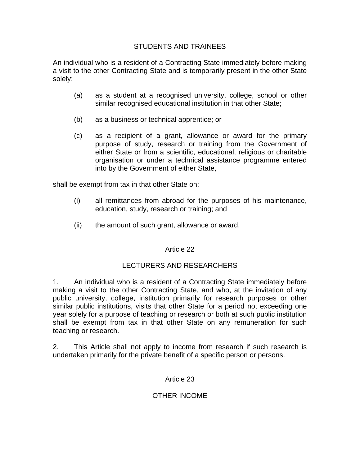## STUDENTS AND TRAINEES

An individual who is a resident of a Contracting State immediately before making a visit to the other Contracting State and is temporarily present in the other State solely:

- (a) as a student at a recognised university, college, school or other similar recognised educational institution in that other State;
- (b) as a business or technical apprentice; or
- (c) as a recipient of a grant, allowance or award for the primary purpose of study, research or training from the Government of either State or from a scientific, educational, religious or charitable organisation or under a technical assistance programme entered into by the Government of either State,

shall be exempt from tax in that other State on:

- (i) all remittances from abroad for the purposes of his maintenance, education, study, research or training; and
- (ii) the amount of such grant, allowance or award.

### Article 22

# LECTURERS AND RESEARCHERS

1. An individual who is a resident of a Contracting State immediately before making a visit to the other Contracting State, and who, at the invitation of any public university, college, institution primarily for research purposes or other similar public institutions, visits that other State for a period not exceeding one year solely for a purpose of teaching or research or both at such public institution shall be exempt from tax in that other State on any remuneration for such teaching or research.

2. This Article shall not apply to income from research if such research is undertaken primarily for the private benefit of a specific person or persons.

### Article 23

# OTHER INCOME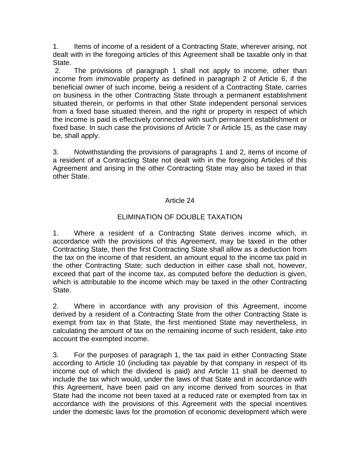1. Items of income of a resident of a Contracting State, wherever arising, not dealt with in the foregoing articles of this Agreement shall be taxable only in that State.

 2. The provisions of paragraph 1 shall not apply to income, other than income from immovable property as defined in paragraph 2 of Article 6, if the beneficial owner of such income, being a resident of a Contracting State, carries on business in the other Contracting State through a permanent establishment situated therein, or performs in that other State independent personal services from a fixed base situated therein, and the right or property in respect of which the income is paid is effectively connected with such permanent establishment or fixed base. In such case the provisions of Article 7 or Article 15, as the case may be, shall apply.

3. Notwithstanding the provisions of paragraphs 1 and 2, items of income of a resident of a Contracting State not dealt with in the foregoing Articles of this Agreement and arising in the other Contracting State may also be taxed in that other State.

## Article 24

# ELIMINATION OF DOUBLE TAXATION

1. Where a resident of a Contracting State derives income which, in accordance with the provisions of this Agreement, may be taxed in the other Contracting State, then the first Contracting State shall allow as a deduction from the tax on the income of that resident, an amount equal to the income tax paid in the other Contracting State; such deduction in either case shall not, however, exceed that part of the income tax, as computed before the deduction is given, which is attributable to the income which may be taxed in the other Contracting State.

2. Where in accordance with any provision of this Agreement, income derived by a resident of a Contracting State from the other Contracting State is exempt from tax in that State, the first mentioned State may nevertheless, in calculating the amount of tax on the remaining income of such resident, take into account the exempted income.

3. For the purposes of paragraph 1, the tax paid in either Contracting State according to Article 10 (including tax payable by that company in respect of its income out of which the dividend is paid) and Article 11 shall be deemed to include the tax which would, under the laws of that State and in accordance with this Agreement, have been paid on any income derived from sources in that State had the income not been taxed at a reduced rate or exempted from tax in accordance with the provisions of this Agreement with the special incentives under the domestic laws for the promotion of economic development which were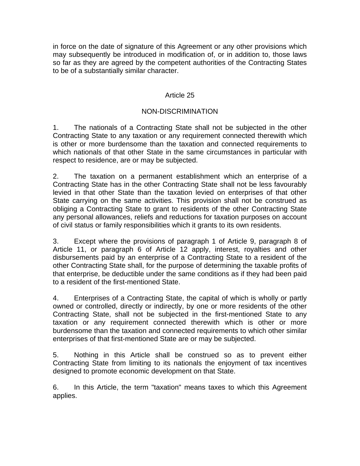in force on the date of signature of this Agreement or any other provisions which may subsequently be introduced in modification of, or in addition to, those laws so far as they are agreed by the competent authorities of the Contracting States to be of a substantially similar character.

## Article 25

## NON-DISCRIMINATION

1. The nationals of a Contracting State shall not be subjected in the other Contracting State to any taxation or any requirement connected therewith which is other or more burdensome than the taxation and connected requirements to which nationals of that other State in the same circumstances in particular with respect to residence, are or may be subjected.

2. The taxation on a permanent establishment which an enterprise of a Contracting State has in the other Contracting State shall not be less favourably levied in that other State than the taxation levied on enterprises of that other State carrying on the same activities. This provision shall not be construed as obliging a Contracting State to grant to residents of the other Contracting State any personal allowances, reliefs and reductions for taxation purposes on account of civil status or family responsibilities which it grants to its own residents.

3. Except where the provisions of paragraph 1 of Article 9, paragraph 8 of Article 11, or paragraph 6 of Article 12 apply, interest, royalties and other disbursements paid by an enterprise of a Contracting State to a resident of the other Contracting State shall, for the purpose of determining the taxable profits of that enterprise, be deductible under the same conditions as if they had been paid to a resident of the first-mentioned State.

4. Enterprises of a Contracting State, the capital of which is wholly or partly owned or controlled, directly or indirectly, by one or more residents of the other Contracting State, shall not be subjected in the first-mentioned State to any taxation or any requirement connected therewith which is other or more burdensome than the taxation and connected requirements to which other similar enterprises of that first-mentioned State are or may be subjected.

5. Nothing in this Article shall be construed so as to prevent either Contracting State from limiting to its nationals the enjoyment of tax incentives designed to promote economic development on that State.

6. In this Article, the term "taxation" means taxes to which this Agreement applies.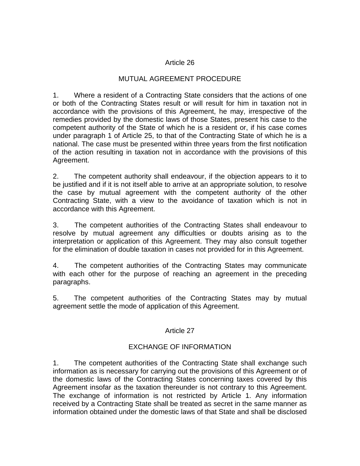#### Article 26

## MUTUAL AGREEMENT PROCEDURE

1. Where a resident of a Contracting State considers that the actions of one or both of the Contracting States result or will result for him in taxation not in accordance with the provisions of this Agreement, he may, irrespective of the remedies provided by the domestic laws of those States, present his case to the competent authority of the State of which he is a resident or, if his case comes under paragraph 1 of Article 25, to that of the Contracting State of which he is a national. The case must be presented within three years from the first notification of the action resulting in taxation not in accordance with the provisions of this Agreement.

2. The competent authority shall endeavour, if the objection appears to it to be justified and if it is not itself able to arrive at an appropriate solution, to resolve the case by mutual agreement with the competent authority of the other Contracting State, with a view to the avoidance of taxation which is not in accordance with this Agreement.

3. The competent authorities of the Contracting States shall endeavour to resolve by mutual agreement any difficulties or doubts arising as to the interpretation or application of this Agreement. They may also consult together for the elimination of double taxation in cases not provided for in this Agreement.

4. The competent authorities of the Contracting States may communicate with each other for the purpose of reaching an agreement in the preceding paragraphs.

5. The competent authorities of the Contracting States may by mutual agreement settle the mode of application of this Agreement.

### Article 27

# EXCHANGE OF INFORMATION

1. The competent authorities of the Contracting State shall exchange such information as is necessary for carrying out the provisions of this Agreement or of the domestic laws of the Contracting States concerning taxes covered by this Agreement insofar as the taxation thereunder is not contrary to this Agreement. The exchange of information is not restricted by Article 1. Any information received by a Contracting State shall be treated as secret in the same manner as information obtained under the domestic laws of that State and shall be disclosed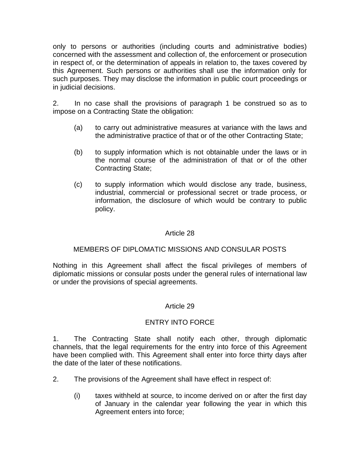only to persons or authorities (including courts and administrative bodies) concerned with the assessment and collection of, the enforcement or prosecution in respect of, or the determination of appeals in relation to, the taxes covered by this Agreement. Such persons or authorities shall use the information only for such purposes. They may disclose the information in public court proceedings or in judicial decisions.

2. In no case shall the provisions of paragraph 1 be construed so as to impose on a Contracting State the obligation:

- (a) to carry out administrative measures at variance with the laws and the administrative practice of that or of the other Contracting State;
- (b) to supply information which is not obtainable under the laws or in the normal course of the administration of that or of the other Contracting State;
- (c) to supply information which would disclose any trade, business, industrial, commercial or professional secret or trade process, or information, the disclosure of which would be contrary to public policy.

## Article 28

### MEMBERS OF DIPLOMATIC MISSIONS AND CONSULAR POSTS

Nothing in this Agreement shall affect the fiscal privileges of members of diplomatic missions or consular posts under the general rules of international law or under the provisions of special agreements.

### Article 29

### ENTRY INTO FORCE

1. The Contracting State shall notify each other, through diplomatic channels, that the legal requirements for the entry into force of this Agreement have been complied with. This Agreement shall enter into force thirty days after the date of the later of these notifications.

- 2. The provisions of the Agreement shall have effect in respect of:
	- (i) taxes withheld at source, to income derived on or after the first day of January in the calendar year following the year in which this Agreement enters into force;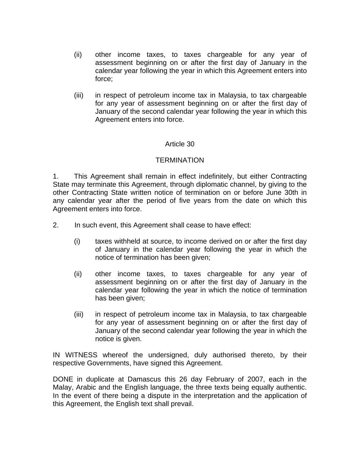- (ii) other income taxes, to taxes chargeable for any year of assessment beginning on or after the first day of January in the calendar year following the year in which this Agreement enters into force;
- (iii) in respect of petroleum income tax in Malaysia, to tax chargeable for any year of assessment beginning on or after the first day of January of the second calendar year following the year in which this Agreement enters into force.

### Article 30

### **TERMINATION**

1. This Agreement shall remain in effect indefinitely, but either Contracting State may terminate this Agreement, through diplomatic channel, by giving to the other Contracting State written notice of termination on or before June 30th in any calendar year after the period of five years from the date on which this Agreement enters into force.

- 2. In such event, this Agreement shall cease to have effect:
	- (i) taxes withheld at source, to income derived on or after the first day of January in the calendar year following the year in which the notice of termination has been given;
	- (ii) other income taxes, to taxes chargeable for any year of assessment beginning on or after the first day of January in the calendar year following the year in which the notice of termination has been given;
	- (iii) in respect of petroleum income tax in Malaysia, to tax chargeable for any year of assessment beginning on or after the first day of January of the second calendar year following the year in which the notice is given.

IN WITNESS whereof the undersigned, duly authorised thereto, by their respective Governments, have signed this Agreement.

DONE in duplicate at Damascus this 26 day February of 2007, each in the Malay, Arabic and the English language, the three texts being equally authentic. In the event of there being a dispute in the interpretation and the application of this Agreement, the English text shall prevail.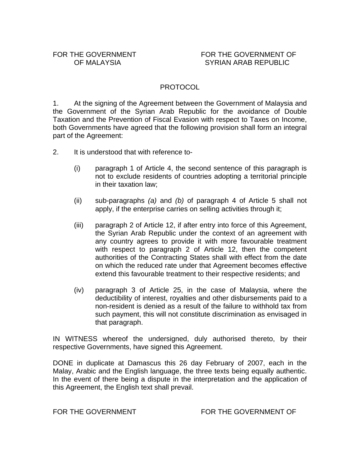## PROTOCOL

1. At the signing of the Agreement between the Government of Malaysia and the Government of the Syrian Arab Republic for the avoidance of Double Taxation and the Prevention of Fiscal Evasion with respect to Taxes on Income, both Governments have agreed that the following provision shall form an integral part of the Agreement:

- 2. It is understood that with reference to-
	- (i) paragraph 1 of Article 4, the second sentence of this paragraph is not to exclude residents of countries adopting a territorial principle in their taxation law;
	- (ii) sub-paragraphs *(a)* and *(b)* of paragraph 4 of Article 5 shall not apply, if the enterprise carries on selling activities through it;
	- (iii) paragraph 2 of Article 12, if after entry into force of this Agreement, the Syrian Arab Republic under the context of an agreement with any country agrees to provide it with more favourable treatment with respect to paragraph 2 of Article 12, then the competent authorities of the Contracting States shall with effect from the date on which the reduced rate under that Agreement becomes effective extend this favourable treatment to their respective residents; and
	- (iv) paragraph 3 of Article 25, in the case of Malaysia, where the deductibility of interest, royalties and other disbursements paid to a non-resident is denied as a result of the failure to withhold tax from such payment, this will not constitute discrimination as envisaged in that paragraph.

IN WITNESS whereof the undersigned, duly authorised thereto, by their respective Governments, have signed this Agreement.

DONE in duplicate at Damascus this 26 day February of 2007, each in the Malay, Arabic and the English language, the three texts being equally authentic. In the event of there being a dispute in the interpretation and the application of this Agreement, the English text shall prevail.